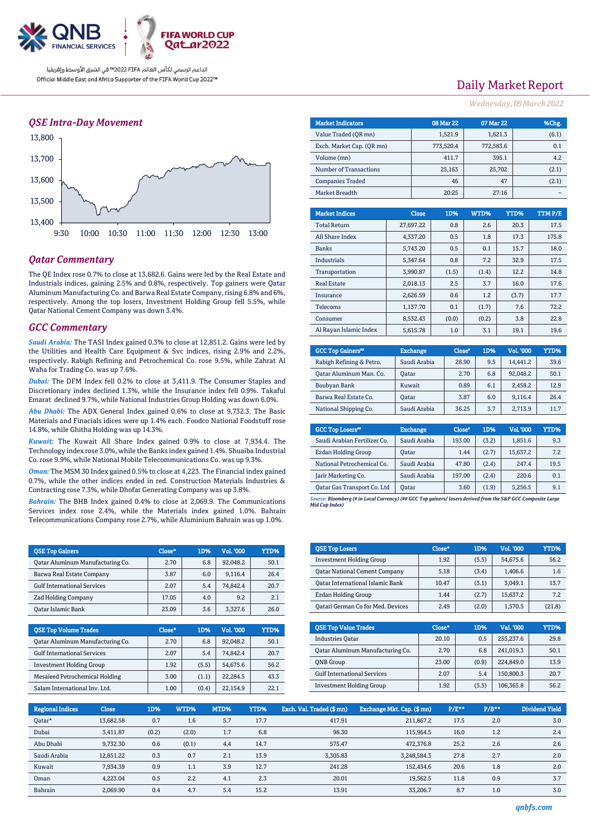

### *QSE Intra-Day Movement*



## *Qatar Commentary*

The QE Index rose 0.7% to close at 13,682.6. Gains were led by the Real Estate and Industrials indices, gaining 2.5% and 0.8%, respectively. Top gainers were Qatar Aluminum Manufacturing Co. and Barwa Real Estate Company, rising 6.8% and 6%, respectively. Among the top losers, Investment Holding Group fell 5.5%, while Qatar National Cement Company was down 3.4%.

#### *GCC Commentary*

*Saudi Arabia:* The TASI Index gained 0.3% to close at 12,851.2. Gains were led by the Utilities and Health Care Equipment & Svc indices, rising 2.9% and 2.2%, respectively. Rabigh Refining and Petrochemical Co. rose 9.5%, while Zahrat Al Waha for Trading Co. was up 7.6%.

*Dubai:* The DFM Index fell 0.2% to close at 3,411.9. The Consumer Staples and Discretionary index declined 1.3%, while the Insurance index fell 0.9%. Takaful Emarat declined 9.7%, while National Industries Group Holding was down 6.0%.

*Abu Dhabi:* The ADX General Index gained 0.6% to close at 9,732.3. The Basic Materials and Finacials idices were up 1.4% each. Foodco National Foodstuff rose 14.8%, while Ghitha Holding was up 14.3%.

*Kuwait:* The Kuwait All Share Index gained 0.9% to close at 7,934.4. The Technology index rose 3.0%, while the Banks index gained 1.4%. Shuaiba Industrial Co. rose 9.9%, while National Mobile Telecommunications Co. was up 9.3%.

*Oman:* The MSM 30 Index gained 0.5% to close at 4,223. The Financial index gained 0.7%, while the other indices ended in red. Construction Materials Industries & Contracting rose 7.3%, while Dhofar Generating Company was up 3.8%.

*Bahrain:* The BHB Index gained 0.4% to close at 2,069.9. The Communications Services index rose 2.4%, while the Materials index gained 1.0%. Bahrain Telecommunications Company rose 2.7%, while Aluminium Bahrain was up 1.0%.

| <b>OSE Top Gainers</b>                  | Close* | 1D% | Vol. '000 | YTD% |
|-----------------------------------------|--------|-----|-----------|------|
| <b>Qatar Aluminum Manufacturing Co.</b> | 2.70   | 6.8 | 92,048.2  | 50.1 |
| Barwa Real Estate Company               | 3.87   | 6.0 | 9.116.4   | 26.4 |
| <b>Gulf International Services</b>      | 2.07   | 5.4 | 74.842.4  | 20.7 |
| <b>Zad Holding Company</b>              | 17.05  | 4.0 | 9.2       | 2.1  |
| Oatar Islamic Bank                      | 23.09  | 3.6 | 3.327.6   | 26.0 |

| <b>QSE Top Volume Trades</b>       | $Close*$ | 1D%   | Vol. '000 | YTD% |
|------------------------------------|----------|-------|-----------|------|
| Qatar Aluminum Manufacturing Co.   | 2.70     | 6.8   | 92.048.2  | 50.1 |
| <b>Gulf International Services</b> | 2.07     | 5.4   | 74.842.4  | 20.7 |
| <b>Investment Holding Group</b>    | 1.92     | (5.5) | 54.675.6  | 56.2 |
| Mesaieed Petrochemical Holding     | 3.00     | (1.1) | 22.284.5  | 43.3 |
| Salam International Inv. Ltd.      | 1.00     | (0.4) | 22.154.9  | 22.1 |

## Daily Market Report

*Wednesday, 09March2022*

| <b>Market Indicators</b>  | 08 Mar 22 | 07 Mar 22 | %Chg. |
|---------------------------|-----------|-----------|-------|
| Value Traded (OR mn)      | 1.521.9   | 1,621.3   | (6.1) |
| Exch. Market Cap. (OR mn) | 773,520.4 | 772,583.6 | 0.1   |
| Volume (mn)               | 411.7     | 395.1     | 4.2   |
| Number of Transactions    | 25,163    | 25,702    | (2.1) |
| <b>Companies Traded</b>   | 46        | 47        | (2.1) |
| Market Breadth            | 20:25     | 27:16     |       |
|                           |           |           |       |

| <b>Market Indices</b>  | <b>Close</b> | 1D%   | WTD%  | YTD%  | TTM P/E |
|------------------------|--------------|-------|-------|-------|---------|
| <b>Total Return</b>    | 27.697.22    | 0.8   | 2.6   | 20.3  | 17.5    |
| All Share Index        | 4.337.20     | 0.5   | 1.8   | 17.3  | 175.8   |
| <b>Banks</b>           | 5.743.20     | 0.5   | 0.1   | 15.7  | 18.0    |
| <b>Industrials</b>     | 5.347.64     | 0.8   | 7.2   | 32.9  | 17.5    |
| Transportation         | 3,990.87     | (1.5) | (1.4) | 12.2  | 14.8    |
| <b>Real Estate</b>     | 2.018.13     | 2.5   | 3.7   | 16.0  | 17.6    |
| Insurance              | 2.626.59     | 0.6   | 1.2   | (3.7) | 17.7    |
| Telecoms               | 1,137.70     | 0.1   | (1.7) | 7.6   | 72.2    |
| Consumer               | 8.532.43     | (0.0) | (0.2) | 3.8   | 22.8    |
| Al Rayan Islamic Index | 5.615.78     | 1.0   | 3.1   | 19.1  | 19.6    |

| <b>GCC Top Gainers"</b>  | <b>Exchange</b> | Close* | 1D% | Vol. '000 | YTD% |
|--------------------------|-----------------|--------|-----|-----------|------|
| Rabigh Refining & Petro. | Saudi Arabia    | 28.90  | 9.5 | 14.441.2  | 39.6 |
| Qatar Aluminum Man. Co.  | <b>Oatar</b>    | 2.70   | 6.8 | 92.048.2  | 50.1 |
| Boubyan Bank             | Kuwait          | 0.89   | 6.1 | 2.458.2   | 12.9 |
| Barwa Real Estate Co.    | Oatar           | 3.87   | 6.0 | 9.116.4   | 26.4 |
| National Shipping Co.    | Saudi Arabia    | 36.25  | 3.7 | 2.713.9   | 11.7 |

| <b>GCC Top Losers</b> "      | <b>Exchange</b> | Close <sup>®</sup> | 1D%   | Vol. '000 | YTD% |
|------------------------------|-----------------|--------------------|-------|-----------|------|
| Saudi Arabian Fertilizer Co. | Saudi Arabia    | 193.00             | (3.2) | 1,851.6   | 9.3  |
| Ezdan Holding Group          | <b>Oatar</b>    | 1.44               | (2.7) | 15,637.2  | 7.2  |
| National Petrochemical Co.   | Saudi Arabia    | 47.80              | (2.4) | 247.4     | 19.5 |
| Jarir Marketing Co.          | Saudi Arabia    | 197.00             | (2.4) | 220.6     | 0.1  |
| Qatar Gas Transport Co. Ltd  | <b>Oatar</b>    | 3.60               | (1.9) | 5,256.5   | 9.1  |

*Source: Bloomberg (# in Local Currency) (## GCC Top gainers/ losers derived from the S&P GCC Composite Large Mid Cap Index)*

| <b>OSE Top Losers</b>                | Close* | 1D%   | Vol. '000 | <b>YTD%</b> |
|--------------------------------------|--------|-------|-----------|-------------|
| <b>Investment Holding Group</b>      | 1.92   | (5.5) | 54.675.6  | 56.2        |
| <b>Qatar National Cement Company</b> | 5.18   | (3.4) | 1,406.6   | 1.6         |
| Oatar International Islamic Bank     | 10.47  | (3.1) | 3.049.1   | 13.7        |
| Ezdan Holding Group                  | 1.44   | (2.7) | 15,637.2  | 7.2         |
| Qatari German Co for Med. Devices    | 2.49   | (2.0) | 1.570.5   | (21.8)      |

| <b>OSE Top Value Trades</b>        | Close* | 1D%   | Val. '000 | YTD% |
|------------------------------------|--------|-------|-----------|------|
| <b>Industries Oatar</b>            | 20.10  | 0.5   | 255,237.6 | 29.8 |
| Oatar Aluminum Manufacturing Co.   | 2.70   | 6.8   | 241.019.3 | 50.1 |
| <b>ONB</b> Group                   | 23.00  | (0.9) | 224,849.0 | 13.9 |
| <b>Gulf International Services</b> | 2.07   | 5.4   | 150,800.3 | 20.7 |
| <b>Investment Holding Group</b>    | 1.92   | (5.5) | 106,365.8 | 56.2 |

| <b>Regional Indices</b> | <b>Close</b> | 1D%   | WTD%  | MTD% | YTD% | Exch. Val. Traded (\$ mn) | Exchange Mkt. Cap. (\$ mn) | $P/E***$ | $P/B**$ | Dividend Yield |
|-------------------------|--------------|-------|-------|------|------|---------------------------|----------------------------|----------|---------|----------------|
| Qatar*                  | 13.682.58    | 0.7   | 1.6   | 5.7  | 17.7 | 417.91                    | 211.867.2                  | 17.5     | 2.0     | 3.0            |
| Dubai                   | 3.411.87     | (0.2) | (2.0) | 1.7  | 6.8  | 98.30                     | 115.964.5                  | 16.0     | 1.2     | 2.4            |
| Abu Dhabi               | 9,732.30     | 0.6   | (0.1) | 4.4  | 14.7 | 575.47                    | 472.376.8                  | 25.2     | 2.6     | 2.6            |
| Saudi Arabia            | 12.851.22    | 0.3   | 0.7   | 2.1  | 13.9 | 3.305.83                  | 3.248.584.3                | 27.8     | 2.7     | 2.0            |
| Kuwait                  | 7.934.39     | 0.9   | 1.1   | 3.9  | 12.7 | 241.28                    | 152.434.6                  | 20.6     | 1.8     | 2.0            |
| Oman                    | 4,223.04     | 0.5   | 2.2   | 4.1  | 2.3  | 20.01                     | 19.562.5                   | 11.8     | 0.9     | 3.7            |
| Bahrain                 | 2.069.90     | 0.4   | 4.7   | 5.4  | 15.2 | 13.91                     | 33.206.7                   | 8.7      | 1.0     | 3.0            |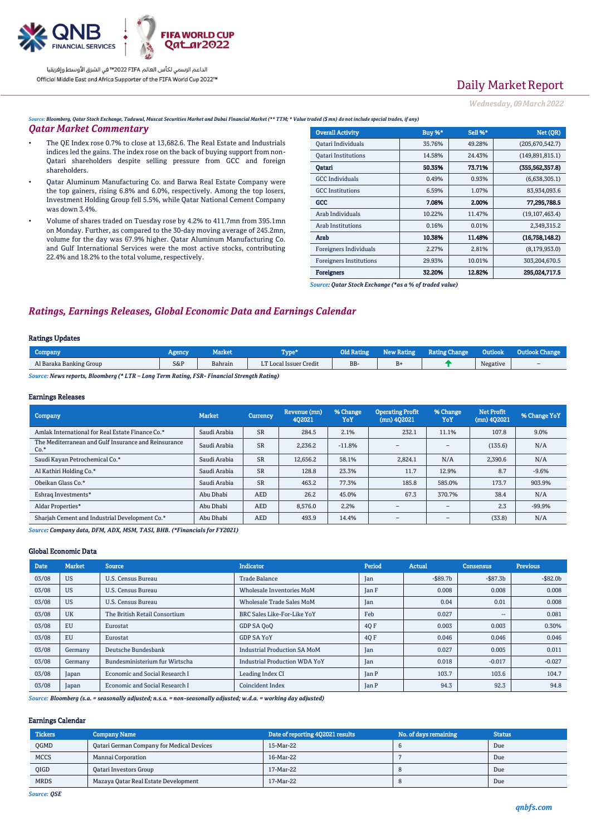

# Daily Market Report

*Wednesday, 09March2022*

*Source: Bloomberg, Qatar Stock Exchange, Tadawul, Muscat Securities Market and Dubai Financial Market (\*\* TTM; \* Value traded (\$ mn) do not include special trades, if any)*

### *Qatar Market Commentary*

- The QE Index rose 0.7% to close at 13,682.6. The Real Estate and Industrials indices led the gains. The index rose on the back of buying support from non-Qatari shareholders despite selling pressure from GCC and foreign shareholders.
- Qatar Aluminum Manufacturing Co. and Barwa Real Estate Company were the top gainers, rising 6.8% and 6.0%, respectively. Among the top losers, Investment Holding Group fell 5.5%, while Qatar National Cement Company was down 3.4%.
- Volume of shares traded on Tuesday rose by 4.2% to 411.7mn from 395.1mn on Monday. Further, as compared to the 30-day moving average of 245.2mn, volume for the day was 67.9% higher. Qatar Aluminum Manufacturing Co. and Gulf International Services were the most active stocks, contributing 22.4% and 18.2% to the total volume, respectively.

| <b>Overall Activity</b>        | Buy %* | <b>Sell %*</b> | Net (QR)          |
|--------------------------------|--------|----------------|-------------------|
| Qatari Individuals             | 35.76% | 49.28%         | (205,670,542.7)   |
| <b>Oatari Institutions</b>     | 14.58% | 24.43%         | (149, 891, 815.1) |
| Oatari                         | 50.35% | 73.71%         | (355.562.357.8)   |
| <b>GCC</b> Individuals         | 0.49%  | 0.93%          | (6,638,305.1)     |
| <b>GCC</b> Institutions        | 6.59%  | 1.07%          | 83,934,093.6      |
| GCC                            | 7.08%  | 2.00%          | 77.295.788.5      |
| Arab Individuals               | 10.22% | 11.47%         | (19, 107, 463.4)  |
| <b>Arab Institutions</b>       | 0.16%  | 0.01%          | 2,349,315.2       |
| Arab                           | 10.38% | 11.48%         | (16,758,148.2)    |
| Foreigners Individuals         | 2.27%  | 2.81%          | (8, 179, 953.0)   |
| <b>Foreigners Institutions</b> | 29.93% | 10.01%         | 303,204,670.5     |
| Foreigners                     | 32.20% | 12.82%         | 295.024.717.5     |

*Source: Qatar Stock Exchange (\*as a % of traded value)*

## *Ratings, Earnings Releases, Global Economic Data and Earnings Calendar*

#### Ratings Updates

| Company                                                                                     | Agency | Market  |                        | <b>Old Rating</b> | <b>New Rating</b> | <b>Rating Change</b> | : Outlook ' |   |
|---------------------------------------------------------------------------------------------|--------|---------|------------------------|-------------------|-------------------|----------------------|-------------|---|
| Al Baraka Banking Group                                                                     | S&P    | Bahrain | LT Local Issuer Credit | BB-               | $B+$              |                      | Negative    | - |
| Counsel Marrie ush and a Discussion of F TP Trees Town Dating FCD Financial Channel Dating) |        |         |                        |                   |                   |                      |             |   |

*Source: News reports, Bloomberg (\* LTR – Long Term Rating, FSR- Financial Strength Rating)*

#### Earnings Releases

| Company                                                        | <b>Market</b> | <b>Currency</b> | Revenue (mn)<br>402021 | % Change<br>YoY | <b>Operating Profit</b><br>$(mn)$ 402021 | % Change<br>YoY                 | <b>Net Profit</b><br>$(mn)$ 4Q2021 | % Change YoY |
|----------------------------------------------------------------|---------------|-----------------|------------------------|-----------------|------------------------------------------|---------------------------------|------------------------------------|--------------|
| Amlak International for Real Estate Finance Co.*               | Saudi Arabia  | <b>SR</b>       | 284.5                  | 2.1%            | 232.1                                    | 11.1%                           | 107.8                              | 9.0%         |
| The Mediterranean and Gulf Insurance and Reinsurance<br>$Co.*$ | Saudi Arabia  | <b>SR</b>       | 2,236.2                | $-11.8%$        | $\overline{\phantom{a}}$                 | $\hspace{0.1mm}-\hspace{0.1mm}$ | (135.6)                            | N/A          |
| Saudi Kayan Petrochemical Co.*                                 | Saudi Arabia  | <b>SR</b>       | 12,656.2               | 58.1%           | 2,824.1                                  | N/A                             | 2,390.6                            | N/A          |
| Al Kathiri Holding Co.*                                        | Saudi Arabia  | <b>SR</b>       | 128.8                  | 23.3%           | 11.7                                     | 12.9%                           | 8.7                                | $-9.6%$      |
| Obeikan Glass Co.*                                             | Saudi Arabia  | <b>SR</b>       | 463.2                  | 77.3%           | 185.8                                    | 585.0%                          | 173.7                              | 903.9%       |
| Eshraq Investments*                                            | Abu Dhabi     | <b>AED</b>      | 26.2                   | 45.0%           | 67.3                                     | 370.7%                          | 38.4                               | N/A          |
| Aldar Properties*                                              | Abu Dhabi     | <b>AED</b>      | 8.576.0                | 2.2%            | $\overline{\phantom{a}}$                 | $\hspace{0.1mm}-\hspace{0.1mm}$ | 2.3                                | $-99.9%$     |
| Shariah Cement and Industrial Development Co.*                 | Abu Dhabi     | AED             | 493.9                  | 14.4%           | $\overline{\phantom{a}}$                 | $\qquad \qquad =$               | (33.8)                             | N/A          |

*Source: Company data, DFM, ADX, MSM, TASI, BHB. (\*Financials for FY2021)*

### Global Economic Data

| <b>Date</b> | <b>Market</b> | <b>Source</b>                  | <b>Indicator</b>                            | Period | <b>Actual</b> | <b>Consensus</b> | <b>Previous</b> |
|-------------|---------------|--------------------------------|---------------------------------------------|--------|---------------|------------------|-----------------|
| 03/08       | <b>US</b>     | U.S. Census Bureau             | <b>Trade Balance</b>                        | Jan    | $-$ \$89.7b   | $-$ \$87.3b      | $-$ \$82.0b     |
| 03/08       | <b>US</b>     | U.S. Census Bureau             | Wholesale Inventories MoM<br>0.008<br>Jan F |        |               | 0.008            | 0.008           |
| 03/08       | <b>US</b>     | U.S. Census Bureau             | <b>Wholesale Trade Sales MoM</b>            | Jan    | 0.04          | 0.01             | 0.008           |
| 03/08       | <b>UK</b>     | The British Retail Consortium  | <b>BRC Sales Like-For-Like YoY</b>          | Feb    | 0.027         | $- -$            | 0.081           |
| 03/08       | EU            | Eurostat                       | GDP SA OoO                                  | 40 F   | 0.003         | 0.003            | 0.30%           |
| 03/08       | EU            | Eurostat                       | <b>GDP SA YoY</b>                           | 4QF    | 0.046         | 0.046            | 0.046           |
| 03/08       | Germany       | Deutsche Bundesbank            | <b>Industrial Production SA MoM</b>         | Jan    | 0.027         | 0.005            | 0.011           |
| 03/08       | Germany       | Bundesministerium fur Wirtscha | <b>Industrial Production WDA YoY</b>        | Jan    | 0.018         | $-0.017$         | $-0.027$        |
| 03/08       | Japan         | Economic and Social Research I | Leading Index CI                            | Jan P  | 103.7         | 103.6            | 104.7           |
| 03/08       | Japan         | Economic and Social Research I | Coincident Index                            | Jan P  | 94.3          | 92.3             | 94.8            |

*Source: Bloomberg (s.a. = seasonally adjusted; n.s.a. = non-seasonally adjusted; w.d.a. = working day adjusted)*

#### Earnings Calendar

| <b>Tickers</b> | <b>Company Name</b>                       | Date of reporting 402021 results | No. of days remaining | <b>Status</b> |
|----------------|-------------------------------------------|----------------------------------|-----------------------|---------------|
| QGMD           | Qatari German Company for Medical Devices | 15-Mar-22                        |                       | Due           |
| <b>MCCS</b>    | Mannai Corporation                        | 16-Mar-22                        |                       | Due           |
| QIGD           | <b>Qatari Investors Group</b>             | 17-Mar-22                        |                       | Due           |
| <b>MRDS</b>    | Mazaya Qatar Real Estate Development      | 17-Mar-22                        |                       | Due           |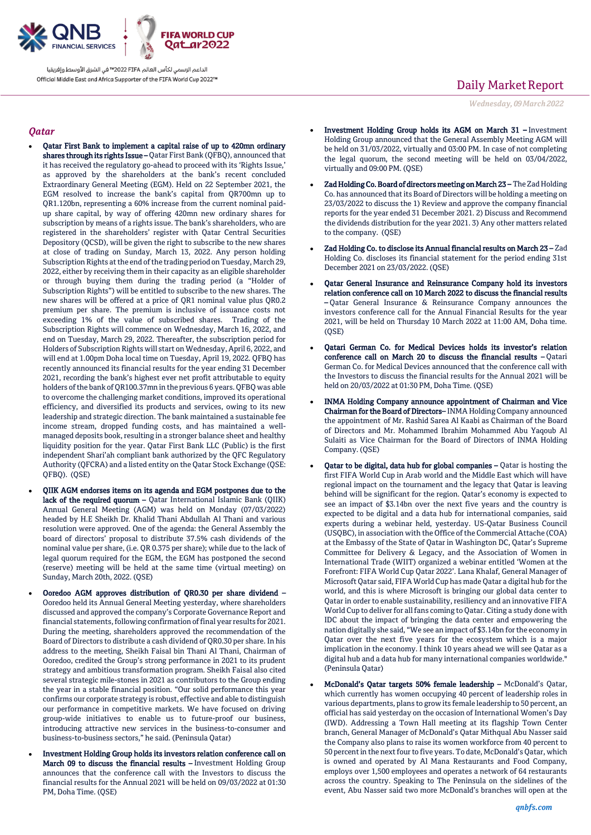

## *Qatar*

- Qatar First Bank to implement a capital raise of up to 420mn ordinary shares through its rights Issue - Qatar First Bank (QFBQ), announced that it has received the regulatory go-ahead to proceed with its 'Rights Issue,' as approved by the shareholders at the bank's recent concluded Extraordinary General Meeting (EGM). Held on 22 September 2021, the EGM resolved to increase the bank's capital from QR700mn up to QR1.120bn, representing a 60% increase from the current nominal paidup share capital, by way of offering 420mn new ordinary shares for subscription by means of a rights issue. The bank's shareholders, who are registered in the shareholders' register with Qatar Central Securities Depository (QCSD), will be given the right to subscribe to the new shares at close of trading on Sunday, March 13, 2022. Any person holding Subscription Rights at the end of the trading period on Tuesday, March 29, 2022, either by receiving them in their capacity as an eligible shareholder or through buying them during the trading period (a "Holder of Subscription Rights") will be entitled to subscribe to the new shares. The new shares will be offered at a price of QR1 nominal value plus QR0.2 premium per share. The premium is inclusive of issuance costs not exceeding 1% of the value of subscribed shares. Trading of the Subscription Rights will commence on Wednesday, March 16, 2022, and end on Tuesday, March 29, 2022. Thereafter, the subscription period for Holders of Subscription Rights will start on Wednesday, April 6, 2022, and will end at 1.00pm Doha local time on Tuesday, April 19, 2022. QFBQ has recently announced its financial results for the year ending 31 December 2021, recording the bank's highest ever net profit attributable to equity holders of the bank of QR100.37mn in the previous 6 years. QFBQ was able to overcome the challenging market conditions, improved its operational efficiency, and diversified its products and services, owing to its new leadership and strategic direction. The bank maintained a sustainable fee income stream, dropped funding costs, and has maintained a wellmanaged deposits book, resulting in a stronger balance sheet and healthy liquidity position for the year. Qatar First Bank LLC (Public) is the first independent Shari'ah compliant bank authorized by the QFC Regulatory Authority (QFCRA) and a listed entity on the Qatar Stock Exchange (QSE: QFBQ). (QSE)
- QIIK AGM endorses items on its agenda and EGM postpones due to the lack of the required quorum – Qatar International Islamic Bank (QIIK) Annual General Meeting (AGM) was held on Monday (07/03/2022) headed by H.E Sheikh Dr. Khalid Thani Abdullah Al Thani and various resolution were approved. One of the agenda: the General Assembly the board of directors' proposal to distribute 37.5% cash dividends of the nominal value per share, (i.e. QR 0.375 per share); while due to the lack of legal quorum required for the EGM, the EGM has postponed the second (reserve) meeting will be held at the same time (virtual meeting) on Sunday, March 20th, 2022. (QSE)
- Ooredoo AGM approves distribution of QR0.30 per share dividend Ooredoo held its Annual General Meeting yesterday, where shareholders discussed and approved the company's Corporate Governance Report and financial statements, following confirmation of final year results for 2021. During the meeting, shareholders approved the recommendation of the Board of Directors to distribute a cash dividend of QR0.30 per share. In his address to the meeting, Sheikh Faisal bin Thani Al Thani, Chairman of Ooredoo, credited the Group's strong performance in 2021 to its prudent strategy and ambitious transformation program. Sheikh Faisal also cited several strategic mile-stones in 2021 as contributors to the Group ending the year in a stable financial position. "Our solid performance this year confirms our corporate strategy is robust, effective and able to distinguish our performance in competitive markets. We have focused on driving group-wide initiatives to enable us to future-proof our business, introducing attractive new services in the business-to-consumer and business-to-business sectors," he said. (Peninsula Qatar)
- Investment Holding Group holds its investors relation conference call on March 09 to discuss the financial results – Investment Holding Group announces that the conference call with the Investors to discuss the financial results for the Annual 2021 will be held on 09/03/2022 at 01:30 PM, Doha Time. (QSE)

# Daily Market Report

*Wednesday, 09March2022*

- Investment Holding Group holds its AGM on March 31 Investment Holding Group announced that the General Assembly Meeting AGM will be held on 31/03/2022, virtually and 03:00 PM. In case of not completing the legal quorum, the second meeting will be held on 03/04/2022, virtually and 09:00 PM. (QSE)
- Zad Holding Co. Board of directors meeting on March 23 The Zad Holding Co. has announced that its Board of Directors will be holding a meeting on 23/03/2022 to discuss the 1) Review and approve the company financial reports for the year ended 31 December 2021. 2) Discuss and Recommend the dividends distribution for the year 2021. 3) Any other matters related to the company. (QSE)
- Zad Holding Co. to disclose its Annual financial results on March 23 Zad Holding Co. discloses its financial statement for the period ending 31st December 2021 on 23/03/2022. (QSE)
- Qatar General Insurance and Reinsurance Company hold its investors relation conference call on 10 March 2022 to discuss the financial results – Qatar General Insurance & Reinsurance Company announces the investors conference call for the Annual Financial Results for the year 2021, will be held on Thursday 10 March 2022 at 11:00 AM, Doha time. (QSE)
- Qatari German Co. for Medical Devices holds its investor's relation conference call on March 20 to discuss the financial results – Qatari German Co. for Medical Devices announced that the conference call with the Investors to discuss the financial results for the Annual 2021 will be held on 20/03/2022 at 01:30 PM, Doha Time. (QSE)
- INMA Holding Company announce appointment of Chairman and Vice Chairman for the Board of Directors– INMA Holding Company announced the appointment of Mr. Rashid Sarea Al Kaabi as Chairman of the Board of Directors and Mr. Mohammed Ibrahim Mohammed Abu Yaqoub Al Sulaiti as Vice Chairman for the Board of Directors of INMA Holding Company. (QSE)
- Qatar to be digital, data hub for global companies Qatar is hosting the first FIFA World Cup in Arab world and the Middle East which will have regional impact on the tournament and the legacy that Qatar is leaving behind will be significant for the region. Qatar's economy is expected to see an impact of \$3.14bn over the next five years and the country is expected to be digital and a data hub for international companies, said experts during a webinar held, yesterday. US-Qatar Business Council (USQBC), in association with the Office of the Commercial Attache (COA) at the Embassy of the State of Qatar in Washington DC, Qatar's Supreme Committee for Delivery & Legacy, and the Association of Women in International Trade (WIIT) organized a webinar entitled 'Women at the Forefront: FIFA World Cup Qatar 2022'. Lana Khalaf, General Manager of Microsoft Qatar said, FIFA World Cup has made Qatar a digital hub for the world, and this is where Microsoft is bringing our global data center to Qatar in order to enable sustainability, resiliency and an innovative FIFA World Cup to deliver for all fans coming to Qatar. Citing a study done with IDC about the impact of bringing the data center and empowering the nation digitally she said, "We see an impact of \$3.14bn for the economy in Qatar over the next five years for the ecosystem which is a major implication in the economy. I think 10 years ahead we will see Qatar as a digital hub and a data hub for many international companies worldwide." (Peninsula Qatar)
- McDonald's Qatar targets 50% female leadership McDonald's Qatar, which currently has women occupying 40 percent of leadership roles in various departments, plans to grow its female leadership to 50 percent, an official has said yesterday on the occasion of International Women's Day (IWD). Addressing a Town Hall meeting at its flagship Town Center branch, General Manager of McDonald's Qatar Mithqual Abu Nasser said the Company also plans to raise its women workforce from 40 percent to 50 percent in the next four to five years. To date, McDonald's Qatar, which is owned and operated by Al Mana Restaurants and Food Company, employs over 1,500 employees and operates a network of 64 restaurants across the country. Speaking to The Peninsula on the sidelines of the event, Abu Nasser said two more McDonald's branches will open at the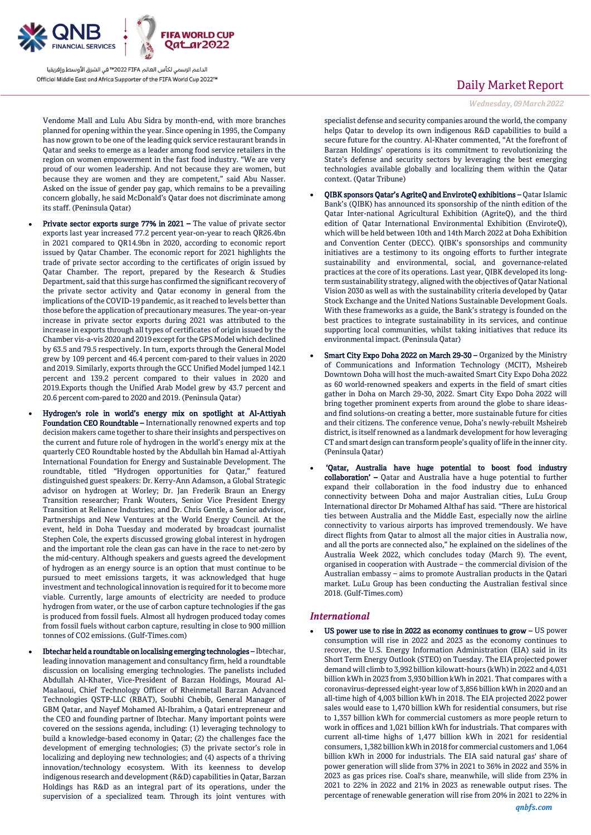

Vendome Mall and Lulu Abu Sidra by month-end, with more branches planned for opening within the year. Since opening in 1995, the Company has now grown to be one of the leading quick service restaurant brands in Qatar and seeks to emerge as a leader among food service retailers in the region on women empowerment in the fast food industry. "We are very proud of our women leadership. And not because they are women, but because they are women and they are competent," said Abu Nasser. Asked on the issue of gender pay gap, which remains to be a prevailing concern globally, he said McDonald's Qatar does not discriminate among its staff. (Peninsula Qatar)

- Private sector exports surge 77% in 2021 The value of private sector exports last year increased 77.2 percent year-on-year to reach QR26.4bn in 2021 compared to QR14.9bn in 2020, according to economic report issued by Qatar Chamber. The economic report for 2021 highlights the trade of private sector according to the certificates of origin issued by Qatar Chamber. The report, prepared by the Research & Studies Department, said that this surge has confirmed the significant recovery of the private sector activity and Qatar economy in general from the implications of the COVID-19 pandemic, as it reached to levels better than those before the application of precautionary measures. The year-on-year increase in private sector exports during 2021 was attributed to the increase in exports through all types of certificates of origin issued by the Chamber vis-a-vis 2020 and 2019 except for the GPS Model which declined by 63.5 and 79.5 respectively. In turn, exports through the General Model grew by 109 percent and 46.4 percent com-pared to their values in 2020 and 2019. Similarly, exports through the GCC Unified Model jumped 142.1 percent and 139.2 percent compared to their values in 2020 and 2019.Exports though the Unified Arab Model grew by 43.7 percent and 20.6 percent com-pared to 2020 and 2019. (Peninsula Qatar)
- Hydrogen's role in world's energy mix on spotlight at Al-Attiyah Foundation CEO Roundtable – Internationally renowned experts and top decision makers came together to share their insights and perspectives on the current and future role of hydrogen in the world's energy mix at the quarterly CEO Roundtable hosted by the Abdullah bin Hamad al-Attiyah International Foundation for Energy and Sustainable Development. The roundtable, titled "Hydrogen opportunities for Qatar," featured distinguished guest speakers: Dr. Kerry-Ann Adamson, a Global Strategic advisor on hydrogen at Worley; Dr. Jan Frederik Braun an Energy Transition researcher; Frank Wouters, Senior Vice President Energy Transition at Reliance Industries; and Dr. Chris Gentle, a Senior advisor, Partnerships and New Ventures at the World Energy Council. At the event, held in Doha Tuesday and moderated by broadcast journalist Stephen Cole, the experts discussed growing global interest in hydrogen and the important role the clean gas can have in the race to net-zero by the mid-century. Although speakers and guests agreed the development of hydrogen as an energy source is an option that must continue to be pursued to meet emissions targets, it was acknowledged that huge investment and technological innovation is required for it to become more viable. Currently, large amounts of electricity are needed to produce hydrogen from water, or the use of carbon capture technologies if the gas is produced from fossil fuels. Almost all hydrogen produced today comes from fossil fuels without carbon capture, resulting in close to 900 million tonnes of CO2 emissions. (Gulf-Times.com)
- Ibtechar held a roundtable on localising emerging technologies Ibtechar, leading innovation management and consultancy firm, held a roundtable discussion on localising emerging technologies. The panelists included Abdullah Al-Khater, Vice-President of Barzan Holdings, Mourad Al-Maalaoui, Chief Technology Officer of Rheinmetall Barzan Advanced Technologies QSTP-LLC (RBAT), Soubhi Chebib, General Manager of GBM Qatar, and Nayef Mohamed Al-Ibrahim, a Qatari entrepreneur and the CEO and founding partner of Ibtechar. Many important points were covered on the sessions agenda, including: (1) leveraging technology to build a knowledge-based economy in Qatar; (2) the challenges face the development of emerging technologies; (3) the private sector's role in localizing and deploying new technologies; and (4) aspects of a thriving innovation/technology ecosystem. With its keenness to develop indigenous research and development (R&D) capabilities in Qatar, Barzan Holdings has R&D as an integral part of its operations, under the supervision of a specialized team. Through its joint ventures with

## Daily Market Report

*Wednesday, 09March2022*

specialist defense and security companies around the world, the company helps Qatar to develop its own indigenous R&D capabilities to build a secure future for the country. Al-Khater commented, "At the forefront of Barzan Holdings' operations is its commitment to revolutionizing the State's defense and security sectors by leveraging the best emerging technologies available globally and localizing them within the Qatar context. (Qatar Tribune)

- QIBK sponsors Qatar's AgriteQ and EnviroteQ exhibitions Qatar Islamic Bank's (QIBK) has announced its sponsorship of the ninth edition of the Qatar Inter-national Agricultural Exhibition (AgriteQ), and the third edition of Qatar International Environmental Exhibition (EnviroteQ), which will be held between 10th and 14th March 2022 at Doha Exhibition and Convention Center (DECC). QIBK's sponsorships and community initiatives are a testimony to its ongoing efforts to further integrate sustainability and environmental, social, and governance-related practices at the core of its operations. Last year, QIBK developed its longterm sustainability strategy, aligned with the objectives of Qatar National Vision 2030 as well as with the sustainability criteria developed by Qatar Stock Exchange and the United Nations Sustainable Development Goals. With these frameworks as a guide, the Bank's strategy is founded on the best practices to integrate sustainability in its services, and continue supporting local communities, whilst taking initiatives that reduce its environmental impact. (Peninsula Qatar)
- Smart City Expo Doha 2022 on March 29-30 Organized by the Ministry of Communications and Information Technology (MCIT), Msheireb Downtown Doha will host the much-awaited Smart City Expo Doha 2022 as 60 world-renowned speakers and experts in the field of smart cities gather in Doha on March 29-30, 2022. Smart City Expo Doha 2022 will bring together prominent experts from around the globe to share ideasand find solutions-on creating a better, more sustainable future for cities and their citizens. The conference venue, Doha's newly-rebuilt Msheireb district, is itself renowned as a landmark development for how leveraging CT and smart design can transform people's quality of life in the inner city. (Peninsula Qatar)
- 'Qatar, Australia have huge potential to boost food industry collaboration' – Qatar and Australia have a huge potential to further expand their collaboration in the food industry due to enhanced connectivity between Doha and major Australian cities, LuLu Group International director Dr Mohamed Althaf has said. "There are historical ties between Australia and the Middle East, especially now the airline connectivity to various airports has improved tremendously. We have direct flights from Qatar to almost all the major cities in Australia now, and all the ports are connected also," he explained on the sidelines of the Australia Week 2022, which concludes today (March 9). The event, organised in cooperation with Austrade – the commercial division of the Australian embassy – aims to promote Australian products in the Qatari market. LuLu Group has been conducting the Australian festival since 2018. (Gulf-Times.com)

## *International*

 US power use to rise in 2022 as economy continues to grow – US power consumption will rise in 2022 and 2023 as the economy continues to recover, the U.S. Energy Information Administration (EIA) said in its Short Term Energy Outlook (STEO) on Tuesday. The EIA projected power demand will climb to 3,992 billion kilowatt-hours (kWh) in 2022 and 4,031 billion kWh in 2023 from 3,930 billion kWh in 2021. That compares with a coronavirus-depressed eight-year low of 3,856 billion kWh in 2020 and an all-time high of 4,003 billion kWh in 2018. The EIA projected 2022 power sales would ease to 1,470 billion kWh for residential consumers, but rise to 1,357 billion kWh for commercial customers as more people return to work in offices and 1,021 billion kWh for industrials. That compares with current all-time highs of 1,477 billion kWh in 2021 for residential consumers, 1,382 billion kWh in 2018 for commercial customers and 1,064 billion kWh in 2000 for industrials. The EIA said natural gas' share of power generation will slide from 37% in 2021 to 36% in 2022 and 35% in 2023 as gas prices rise. Coal's share, meanwhile, will slide from 23% in 2021 to 22% in 2022 and 21% in 2023 as renewable output rises. The percentage of renewable generation will rise from 20% in 2021 to 22% in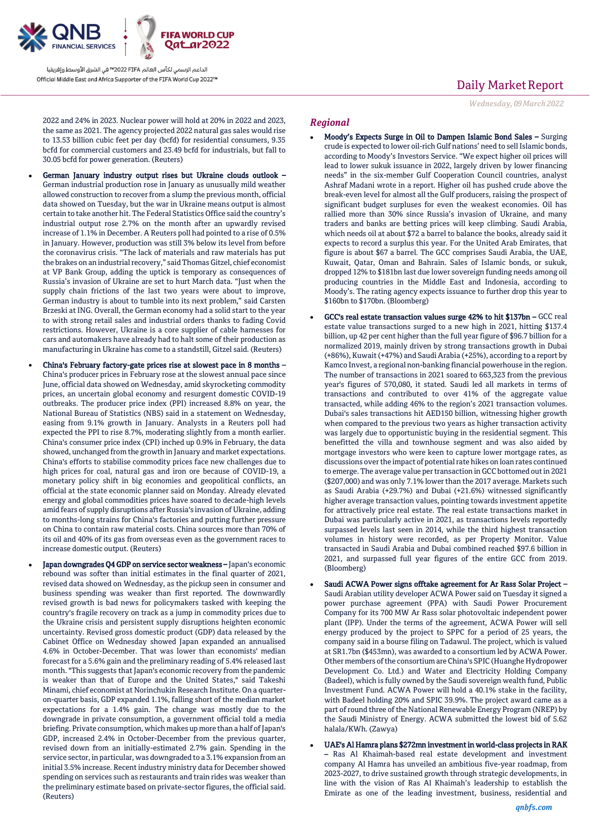

2022 and 24% in 2023. Nuclear power will hold at 20% in 2022 and 2023, the same as 2021. The agency projected 2022 natural gas sales would rise to 13.53 billion cubic feet per day (bcfd) for residential consumers, 9.35 bcfd for commercial customers and 23.49 bcfd for industrials, but fall to 30.05 bcfd for power generation. (Reuters)

- German January industry output rises but Ukraine clouds outlook German industrial production rose in January as unusually mild weather allowed construction to recover from a slump the previous month, official data showed on Tuesday, but the war in Ukraine means output is almost certain to take another hit. The Federal Statistics Office said the country's industrial output rose 2.7% on the month after an upwardly revised increase of 1.1% in December. A Reuters poll had pointed to a rise of 0.5% in January. However, production was still 3% below its level from before the coronavirus crisis. "The lack of materials and raw materials has put the brakes on an industrial recovery," said Thomas Gitzel, chief economist at VP Bank Group, adding the uptick is temporary as consequences of Russia's invasion of Ukraine are set to hurt March data. "Just when the supply chain frictions of the last two years were about to improve, German industry is about to tumble into its next problem," said Carsten Brzeski at ING. Overall, the German economy had a solid start to the year to with strong retail sales and industrial orders thanks to fading Covid restrictions. However, Ukraine is a core supplier of cable harnesses for cars and automakers have already had to halt some of their production as manufacturing in Ukraine has come to a standstill, Gitzel said. (Reuters)
- China's February factory-gate prices rise at slowest pace in 8 months China's producer prices in February rose at the slowest annual pace since June, official data showed on Wednesday, amid skyrocketing commodity prices, an uncertain global economy and resurgent domestic COVID-19 outbreaks. The producer price index (PPI) increased 8.8% on year, the National Bureau of Statistics (NBS) said in a statement on Wednesday, easing from 9.1% growth in January. Analysts in a Reuters poll had expected the PPI to rise 8.7%, moderating slightly from a month earlier. China's consumer price index (CPI) inched up 0.9% in February, the data showed, unchanged from the growth in January and market expectations. China's efforts to stabilise commodity prices face new challenges due to high prices for coal, natural gas and iron ore because of COVID-19, a monetary policy shift in big economies and geopolitical conflicts, an official at the state economic planner said on Monday. Already elevated energy and global commodities prices have soared to decade-high levels amid fears of supply disruptions after Russia's invasion of Ukraine, adding to months-long strains for China's factories and putting further pressure on China to contain raw material costs. China sources more than 70% of its oil and 40% of its gas from overseas even as the government races to increase domestic output. (Reuters)
	- Japan downgrades Q4 GDP on service sector weakness Japan's economic rebound was softer than initial estimates in the final quarter of 2021, revised data showed on Wednesday, as the pickup seen in consumer and business spending was weaker than first reported. The downwardly revised growth is bad news for policymakers tasked with keeping the country's fragile recovery on track as a jump in commodity prices due to the Ukraine crisis and persistent supply disruptions heighten economic uncertainty. Revised gross domestic product (GDP) data released by the Cabinet Office on Wednesday showed Japan expanded an annualised 4.6% in October-December. That was lower than economists' median forecast for a 5.6% gain and the preliminary reading of 5.4% released last month. "This suggests that Japan's economic recovery from the pandemic is weaker than that of Europe and the United States," said Takeshi Minami, chief economist at Norinchukin Research Institute. On a quarteron-quarter basis, GDP expanded 1.1%, falling short of the median market expectations for a 1.4% gain. The change was mostly due to the downgrade in private consumption, a government official told a media briefing. Private consumption, which makes up more than a half of Japan's GDP, increased 2.4% in October-December from the previous quarter, revised down from an initially-estimated 2.7% gain. Spending in the service sector, in particular, was downgraded to a 3.1% expansion from an initial 3.5% increase. Recent industry ministry data for December showed spending on services such as restaurants and train rides was weaker than the preliminary estimate based on private-sector figures, the official said. (Reuters)

## Daily Market Report

*Wednesday, 09March2022*

### *Regional*

- Moody's Expects Surge in Oil to Dampen Islamic Bond Sales Surging crude is expected to lower oil-rich Gulf nations' need to sell Islamic bonds, according to Moody's Investors Service. "We expect higher oil prices will lead to lower sukuk issuance in 2022, largely driven by lower financing needs" in the six-member Gulf Cooperation Council countries, analyst Ashraf Madani wrote in a report. Higher oil has pushed crude above the break-even level for almost all the Gulf producers, raising the prospect of significant budget surpluses for even the weakest economies. Oil has rallied more than 30% since Russia's invasion of Ukraine, and many traders and banks are betting prices will keep climbing. Saudi Arabia, which needs oil at about \$72 a barrel to balance the books, already said it expects to record a surplus this year. For the United Arab Emirates, that figure is about \$67 a barrel. The GCC comprises Saudi Arabia, the UAE, Kuwait, Qatar, Oman and Bahrain. Sales of Islamic bonds, or sukuk, dropped 12% to \$181bn last due lower sovereign funding needs among oil producing countries in the Middle East and Indonesia, according to Moody's. The rating agency expects issuance to further drop this year to \$160bn to \$170bn. (Bloomberg)
- GCC's real estate transaction values surge 42% to hit \$137bn GCC real estate value transactions surged to a new high in 2021, hitting \$137.4 billion, up 42 per cent higher than the full year figure of \$96.7 billion for a normalized 2019, mainly driven by strong transactions growth in Dubai (+86%), Kuwait (+47%) and Saudi Arabia (+25%), according to a report by Kamco Invest, a regional non-banking financial powerhouse in the region. The number of transactions in 2021 soared to 663,323 from the previous year's figures of 570,080, it stated. Saudi led all markets in terms of transactions and contributed to over 41% of the aggregate value transacted, while adding 46% to the region's 2021 transaction volumes. Dubai's sales transactions hit AED150 billion, witnessing higher growth when compared to the previous two years as higher transaction activity was largely due to opportunistic buying in the residential segment. This benefitted the villa and townhouse segment and was also aided by mortgage investors who were keen to capture lower mortgage rates, as discussions over the impact of potential rate hikes on loan rates continued to emerge. The average value per transaction in GCC bottomed out in 2021 (\$207,000) and was only 7.1% lower than the 2017 average. Markets such as Saudi Arabia (+29.7%) and Dubai (+21.6%) witnessed significantly higher average transaction values, pointing towards investment appetite for attractively price real estate. The real estate transactions market in Dubai was particularly active in 2021, as transactions levels reportedly surpassed levels last seen in 2014, while the third highest transaction volumes in history were recorded, as per Property Monitor. Value transacted in Saudi Arabia and Dubai combined reached \$97.6 billion in 2021, and surpassed full year figures of the entire GCC from 2019. (Bloomberg)
- Saudi ACWA Power signs offtake agreement for Ar Rass Solar Project Saudi Arabian utility developer ACWA Power said on Tuesday it signed a power purchase agreement (PPA) with Saudi Power Procurement Company for its 700 MW Ar Rass solar photovoltaic independent power plant (IPP). Under the terms of the agreement, ACWA Power will sell energy produced by the project to SPPC for a period of 25 years, the company said in a bourse filing on Tadawul. The project, which is valued at SR1.7bn (\$453mn), was awarded to a consortium led by ACWA Power. Other members of the consortium are China's SPIC (Huanghe Hydropower Development Co. Ltd.) and Water and Electricity Holding Company (Badeel), which is fully owned by the Saudi sovereign wealth fund, Public Investment Fund. ACWA Power will hold a 40.1% stake in the facility, with Badeel holding 20% and SPIC 39.9%. The project award came as a part of round three of the National Renewable Energy Program (NREP) by the Saudi Ministry of Energy. ACWA submitted the lowest bid of 5.62 halala/KWh. (Zawya)
- UAE's Al Hamra plans \$272mn investment in world-class projects in RAK – Ras Al Khaimah-based real estate development and investment company Al Hamra has unveiled an ambitious five-year roadmap, from 2023-2027, to drive sustained growth through strategic developments, in line with the vision of Ras Al Khaimah's leadership to establish the Emirate as one of the leading investment, business, residential and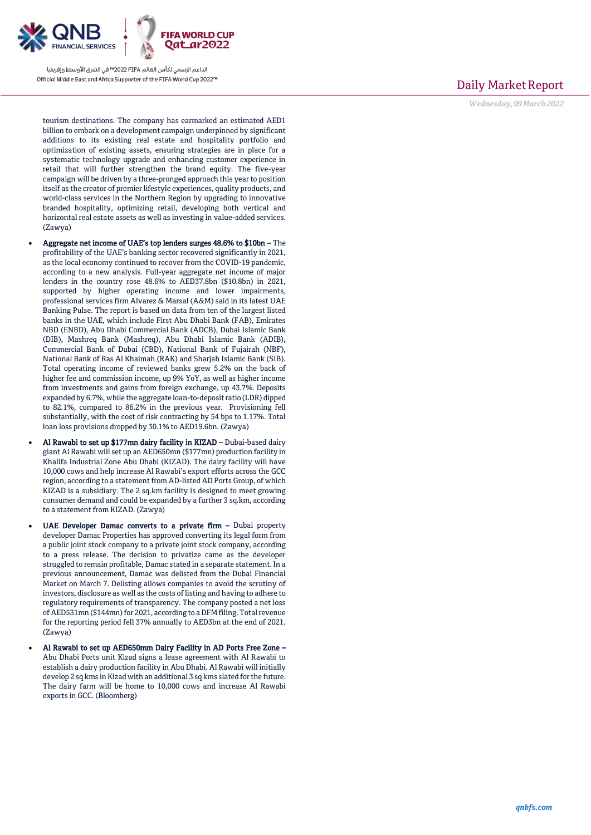

tourism destinations. The company has earmarked an estimated AED1 billion to embark on a development campaign underpinned by significant additions to its existing real estate and hospitality portfolio and optimization of existing assets, ensuring strategies are in place for a systematic technology upgrade and enhancing customer experience in retail that will further strengthen the brand equity. The five-year campaign will be driven by a three-pronged approach this year to position itself as the creator of premier lifestyle experiences, quality products, and world-class services in the Northern Region by upgrading to innovative branded hospitality, optimizing retail, developing both vertical and horizontal real estate assets as well as investing in value-added services. (Zawya)

- Aggregate net income of UAE's top lenders surges 48.6% to \$10bn The profitability of the UAE's banking sector recovered significantly in 2021, as the local economy continued to recover from the COVID-19 pandemic, according to a new analysis. Full-year aggregate net income of major lenders in the country rose 48.6% to AED37.8bn (\$10.8bn) in 2021, supported by higher operating income and lower impairments, professional services firm Alvarez & Marsal (A&M) said in its latest UAE Banking Pulse. The report is based on data from ten of the largest listed banks in the UAE, which include First Abu Dhabi Bank (FAB), Emirates NBD (ENBD), Abu Dhabi Commercial Bank (ADCB), Dubai Islamic Bank (DIB), Mashreq Bank (Mashreq), Abu Dhabi Islamic Bank (ADIB), Commercial Bank of Dubai (CBD), National Bank of Fujairah (NBF), National Bank of Ras Al Khaimah (RAK) and Sharjah Islamic Bank (SIB). Total operating income of reviewed banks grew 5.2% on the back of higher fee and commission income, up 9% YoY, as well as higher income from investments and gains from foreign exchange, up 43.7%. Deposits expanded by 6.7%, while the aggregate loan-to-deposit ratio (LDR) dipped to 82.1%, compared to 86.2% in the previous year. Provisioning fell substantially, with the cost of risk contracting by 54 bps to 1.17%. Total loan loss provisions dropped by 30.1% to AED19.6bn. (Zawya)
- Al Rawabi to set up \$177mn dairy facility in KIZAD Dubai-based dairy giant Al Rawabi will set up an AED650mn (\$177mn) production facility in Khalifa Industrial Zone Abu Dhabi (KIZAD). The dairy facility will have 10,000 cows and help increase Al Rawabi's export efforts across the GCC region, according to a statement from AD-listed AD Ports Group, of which KIZAD is a subsidiary. The 2 sq.km facility is designed to meet growing consumer demand and could be expanded by a further 3 sq.km, according to a statement from KIZAD. (Zawya)
- UAE Developer Damac converts to a private firm Dubai property developer Damac Properties has approved converting its legal form from a public joint stock company to a private joint stock company, according to a press release. The decision to privatize came as the developer struggled to remain profitable, Damac stated in a separate statement. In a previous announcement, Damac was delisted from the Dubai Financial Market on March 7. Delisting allows companies to avoid the scrutiny of investors, disclosure as well as the costs of listing and having to adhere to regulatory requirements of transparency. The company posted a net loss of AED531mn (\$144mn) for 2021, according to a DFM filing. Total revenue for the reporting period fell 37% annually to AED3bn at the end of 2021. (Zawya)
- Al Rawabi to set up AED650mm Dairy Facility in AD Ports Free Zone Abu Dhabi Ports unit Kizad signs a lease agreement with Al Rawabi to establish a dairy production facility in Abu Dhabi. Al Rawabi will initially develop 2 sq kms in Kizad with an additional 3 sq kms slated for the future. The dairy farm will be home to 10,000 cows and increase Al Rawabi exports in GCC. (Bloomberg)

## Daily Market Report

*Wednesday, 09March2022*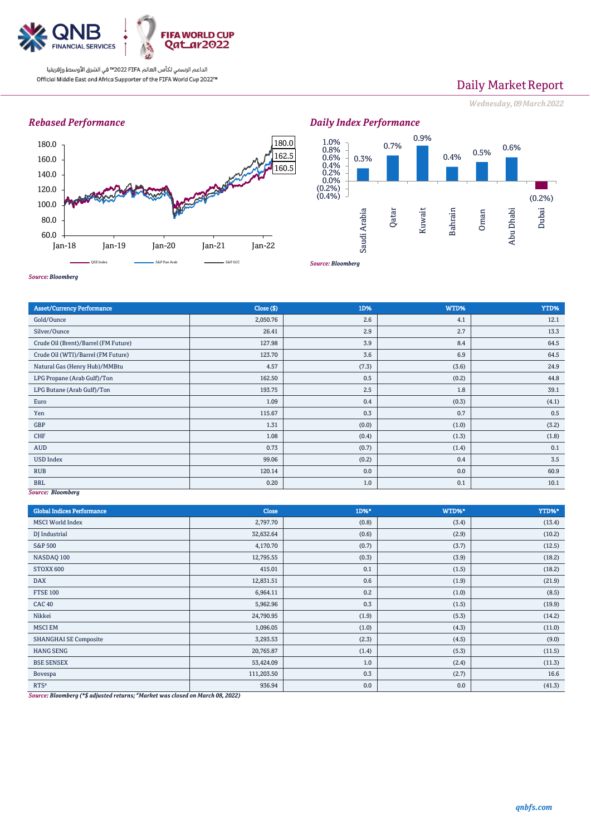

# Daily Market Report

*Wednesday, 09March2022*

## *Rebased Performance*







*Source: Bloomberg*

| <b>Asset/Currency Performance</b>    | Close (\$) | 1D%   | WTD%  | YTD%  |
|--------------------------------------|------------|-------|-------|-------|
| Gold/Ounce                           | 2,050.76   | 2.6   | 4.1   | 12.1  |
| Silver/Ounce                         | 26.41      | 2.9   | 2.7   | 13.3  |
| Crude Oil (Brent)/Barrel (FM Future) | 127.98     | 3.9   | 8.4   | 64.5  |
| Crude Oil (WTI)/Barrel (FM Future)   | 123.70     | 3.6   | 6.9   | 64.5  |
| Natural Gas (Henry Hub)/MMBtu        | 4.57       | (7.3) | (3.6) | 24.9  |
| LPG Propane (Arab Gulf)/Ton          | 162.50     | 0.5   | (0.2) | 44.8  |
| LPG Butane (Arab Gulf)/Ton           | 193.75     | 2.5   | 1.8   | 39.1  |
| Euro                                 | 1.09       | 0.4   | (0.3) | (4.1) |
| Yen                                  | 115.67     | 0.3   | 0.7   | 0.5   |
| GBP                                  | 1.31       | (0.0) | (1.0) | (3.2) |
| CHF                                  | 1.08       | (0.4) | (1.3) | (1.8) |
| AUD                                  | 0.73       | (0.7) | (1.4) | 0.1   |
| <b>USD Index</b>                     | 99.06      | (0.2) | 0.4   | 3.5   |
| <b>RUB</b>                           | 120.14     | 0.0   | 0.0   | 60.9  |
| <b>BRL</b>                           | 0.20       | 1.0   | 0.1   | 10.1  |
| Source: Bloomberg                    |            |       |       |       |

*Source: Bloomberg*

| <b>Global Indices Performance</b>                                                                    | Close      | 1D%*  | WTD%* | YTD%*  |
|------------------------------------------------------------------------------------------------------|------------|-------|-------|--------|
| <b>MSCI</b> World Index                                                                              | 2,797.70   | (0.8) | (3.4) | (13.4) |
| DJ Industrial                                                                                        | 32,632.64  | (0.6) | (2.9) | (10.2) |
| S&P 500                                                                                              | 4,170.70   | (0.7) | (3.7) | (12.5) |
| NASDAQ 100                                                                                           | 12,795.55  | (0.3) | (3.9) | (18.2) |
| STOXX 600                                                                                            | 415.01     | 0.1   | (1.5) | (18.2) |
| <b>DAX</b>                                                                                           | 12,831.51  | 0.6   | (1.9) | (21.9) |
| <b>FTSE 100</b>                                                                                      | 6,964.11   | 0.2   | (1.0) | (8.5)  |
| <b>CAC 40</b>                                                                                        | 5,962.96   | 0.3   | (1.5) | (19.9) |
| Nikkei                                                                                               | 24,790.95  | (1.9) | (5.3) | (14.2) |
| <b>MSCI EM</b>                                                                                       | 1,096.05   | (1.0) | (4.3) | (11.0) |
| <b>SHANGHAI SE Composite</b>                                                                         | 3,293.53   | (2.3) | (4.5) | (9.0)  |
| <b>HANG SENG</b>                                                                                     | 20,765.87  | (1.4) | (5.3) | (11.5) |
| <b>BSE SENSEX</b>                                                                                    | 53,424.09  | 1.0   | (2.4) | (11.3) |
| Bovespa                                                                                              | 111,203.50 | 0.3   | (2.7) | 16.6   |
| $RTS^*$<br><b>PL 1</b> / <i>AA H</i> · 1 · <b>11/</b> I · 1 · I · I · I · 100 0000)<br>$\sim$ $\sim$ | 936.94     | 0.0   | 0.0   | (41.3) |

*Source: Bloomberg (\*\$ adjusted returns; #Market was closed on March 08, 2022)*